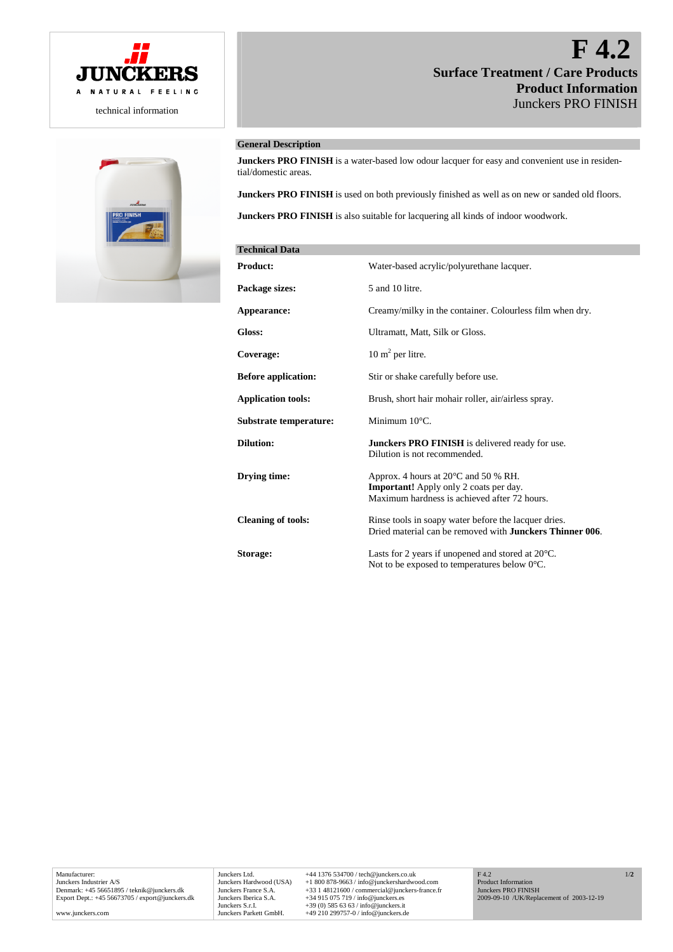



# **F 4.2 Surface Treatment / Care Products Product Information** Junckers PRO FINISH

# **General Description**

**Junckers PRO FINISH** is a water-based low odour lacquer for easy and convenient use in residential/domestic areas.

**Junckers PRO FINISH** is used on both previously finished as well as on new or sanded old floors.

**Junckers PRO FINISH** is also suitable for lacquering all kinds of indoor woodwork.

| <b>Technical Data</b>      |                                                                                                                                                 |
|----------------------------|-------------------------------------------------------------------------------------------------------------------------------------------------|
| <b>Product:</b>            | Water-based acrylic/polyurethane lacquer.                                                                                                       |
| Package sizes:             | 5 and 10 litre.                                                                                                                                 |
| Appearance:                | Creamy/milky in the container. Colourless film when dry.                                                                                        |
| Gloss:                     | Ultramatt, Matt, Silk or Gloss.                                                                                                                 |
| Coverage:                  | $10 \text{ m}^2$ per litre.                                                                                                                     |
| <b>Before application:</b> | Stir or shake carefully before use.                                                                                                             |
| <b>Application tools:</b>  | Brush, short hair mohair roller, air/airless spray.                                                                                             |
| Substrate temperature:     | Minimum $10^{\circ}$ C.                                                                                                                         |
| <b>Dilution:</b>           | <b>Junckers PRO FINISH</b> is delivered ready for use.<br>Dilution is not recommended.                                                          |
| Drving time:               | Approx. 4 hours at $20^{\circ}$ C and 50 % RH.<br><b>Important!</b> Apply only 2 coats per day.<br>Maximum hardness is achieved after 72 hours. |
| <b>Cleaning of tools:</b>  | Rinse tools in soapy water before the lacquer dries.<br>Dried material can be removed with <b>Junckers Thinner 006</b> .                        |
| Storage:                   | Lasts for 2 years if unopened and stored at 20°C.<br>Not to be exposed to temperatures below 0°C.                                               |

Junckers Ltd. +44 1376 534700 / tech@junckers.co.uk<br>Junckers Hardwood (USA) +1 800 878-9663 / info@junckershardwc Junckers Hardwood (USA) +1 800 878-9663 / info@junckershardwood.com<br>Junckers France S.A. +33 1 48121600 / commercial@junckers-france.<br>Junckers Iberica S.A. +34 915 075 719 / info@junckers.es Junckers France S.A. +33 1 48121600 / commercial@junckers-france.fr<br>Junckers Iberica S.A. +34 915 075 719 / info@junckers.es<br>Junckers S.r.I. +39 (0) 585 63 63 / info@junckers.it<br>Junckers Parkett GmbH. +49 210 299757-0 / in F 4.2